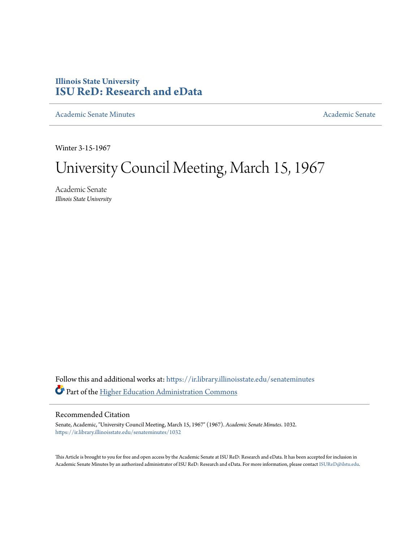### **Illinois State University [ISU ReD: Research and eData](https://ir.library.illinoisstate.edu?utm_source=ir.library.illinoisstate.edu%2Fsenateminutes%2F1032&utm_medium=PDF&utm_campaign=PDFCoverPages)**

[Academic Senate Minutes](https://ir.library.illinoisstate.edu/senateminutes?utm_source=ir.library.illinoisstate.edu%2Fsenateminutes%2F1032&utm_medium=PDF&utm_campaign=PDFCoverPages) [Academic Senate](https://ir.library.illinoisstate.edu/senate?utm_source=ir.library.illinoisstate.edu%2Fsenateminutes%2F1032&utm_medium=PDF&utm_campaign=PDFCoverPages) Academic Senate

Winter 3-15-1967

# University Council Meeting, March 15, 1967

Academic Senate *Illinois State University*

Follow this and additional works at: [https://ir.library.illinoisstate.edu/senateminutes](https://ir.library.illinoisstate.edu/senateminutes?utm_source=ir.library.illinoisstate.edu%2Fsenateminutes%2F1032&utm_medium=PDF&utm_campaign=PDFCoverPages) Part of the [Higher Education Administration Commons](http://network.bepress.com/hgg/discipline/791?utm_source=ir.library.illinoisstate.edu%2Fsenateminutes%2F1032&utm_medium=PDF&utm_campaign=PDFCoverPages)

### Recommended Citation

Senate, Academic, "University Council Meeting, March 15, 1967" (1967). *Academic Senate Minutes*. 1032. [https://ir.library.illinoisstate.edu/senateminutes/1032](https://ir.library.illinoisstate.edu/senateminutes/1032?utm_source=ir.library.illinoisstate.edu%2Fsenateminutes%2F1032&utm_medium=PDF&utm_campaign=PDFCoverPages)

This Article is brought to you for free and open access by the Academic Senate at ISU ReD: Research and eData. It has been accepted for inclusion in Academic Senate Minutes by an authorized administrator of ISU ReD: Research and eData. For more information, please contact [ISUReD@ilstu.edu.](mailto:ISUReD@ilstu.edu)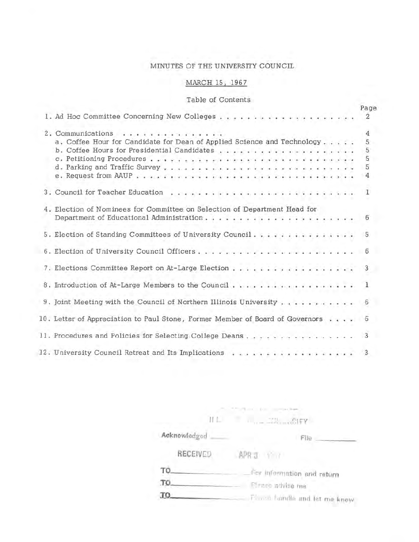### MINUTES OF THE UNIVERSITY COUNCIL

### MARCH 15, 1967

### Table of Contents

|                                                                                              |  | Page                       |
|----------------------------------------------------------------------------------------------|--|----------------------------|
|                                                                                              |  | $\overline{2}$             |
| 2. Communications<br>a. Coffee Hour for Candidate for Dean of Applied Science and Technology |  | 4<br>5<br>5<br>5<br>5<br>4 |
|                                                                                              |  | $\mathbf{1}$               |
| 4. Election of Nominees for Committee on Selection of Department Head for                    |  |                            |
| 5. Election of Standing Committees of University Council                                     |  | 5                          |
|                                                                                              |  |                            |
| 7. Elections Committee Report on At-Large Election 3                                         |  |                            |
|                                                                                              |  |                            |
| 9. Joint Meeting with the Council of Northern Illinois University 6                          |  |                            |
| 10. Letter of Appreciation to Paul Stone, Former Member of Board of Governors 6              |  |                            |
|                                                                                              |  |                            |
| i da ina kalendaria kalend<br>12. University Council Retreat and Its Implications            |  | 3                          |

|              | <b>External</b>                  |
|--------------|----------------------------------|
| LL.          | YF13311                          |
| Acknowledged | File                             |
| RECEIVED     | APR 3 Y                          |
| TO.          | For information and return       |
| TO.          | Firme advise ma                  |
| TQ.          | Figures foundle and let me know. |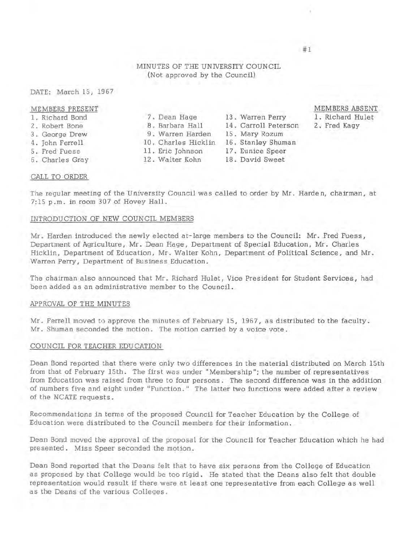#### MINUTES OF THE UNIVERSITY COUNCIL (Not approved by the Council)

#### DATE: March 15, 1967

#### MEMBERS PRESENT

- 1. Richard Bond
- 2 . Robert Bone
- 3 . George Drew
- 4. John Ferrell
- 5. Fred Fuess
- 6. Charles Gray
- 

## 7. Dean Hage 13. Warren Perry 9. Warren Harden 15. Mary Rozum

- 10. Charles Hicklin 16. Stanley Shuman
- 11. Eric Johnson 17. Eunice Speer
- 

8. Barbara Hall 14. Carroll Peterson

- 
- 
- 12. Walter Kohn 18. David Sweet

#### MEMBERS ABSENT

- 1. Richard Hulet
- 2. Fred Kagy

CALL TO ORDER

The regular meeting of the University Council was called to order by Mr. Harden, chairman, at 7:15 p.m. in room 307 of Hovey Hall .

#### INTRODUCTION OF NEW COUNCIL MEMBERS

Mr. Harden introduced the newly elected at-large members to the Council: Mr. Fred Fuess, Department of Agriculture, Mr. Dean Hage, Department of Special Education, Mr. Charles Hicklin, Department of Education, Mr. Walter Kohn, Department of Political Science, and Mr. Warren Perry, Department of Business Education.

The chairman also announced that Mr. Richard Hulet, Vice President for Student Services, had been added as an administrative member to the Council.

#### APPROVAL OF THE MINUTES

Mr. Ferrell moved to approve the minutes of February 15, 1967, as distributed to the faculty. Mr. Shuman seconded the motion. The motion carried by a voice vote.

#### COUNCIL FOR TEACHER EDUCATION

Dean Bond reported that there were only two differences in the material distributed on March 15th from that of February 15th. The first was under "Membership"; the number of representatives from Education was raised from three to four persons. The second difference was in the addition of numbers five and eight under "Function." The latter two functions were added after a review of the NCATE requests.

Recommendations in terms of the proposed Council for Teacher Education by the College of Education were distributed to the Council members for their information.

Dean Bond moved the approval of the proposal for the Council for Teacher Education which he had presented. Miss Speer seconded the motion.

Dean Bond reported that the Deans felt that to have six persons from the College of Education as proposed by that College would be too rigid . He stated that the Deans also felt that double representation would result if there were at least one representative from each College as well as the Deans of the various Colleges .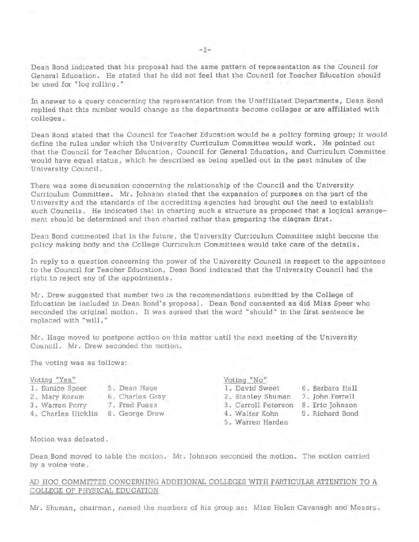Dean Bond indicated that his proposal had the same pattern of representation as the Council for General Education. He stated that he did not feel that the Council for Teacher Education should be used for "log rolling. "

In answer to a query concerning the representation from the Unaffiliated Departments, Dean Bond replied that this number would change as the departments become colleges or are affiliated with colleges.

Dean Bond stated that the Council for Teacher Education would be a policy forming group; it would define the rules under which the University Curriculum Committee would work. He pointed out that the Council for Teacher Education, Council for General Education, and Curriculum Committee would have equal status, which he described as being spelled out in the past minutes of the University Council.

There was some discussion concerning the relationship of the Council and the University Curriculum Committee. Mr. Johnson stated that the expansion of purposes on the part of the University and the standards of the accrediting agencies had brought out the need to establish such Councils. He indicated that in charting such a structure as proposed that a logical arrangement should be determined and then charted rather than preparing the diagram first.

Dean Bond commented that in the future, the University Curriculum Committee might become the policy making body and the College Curriculum Committees would take care of the details.

In reply to a question concerning the power of the University Council in respect to the appointees to the Council for Teacher Education, Dean Bond indicated that the University Council had the right to reject any of the appointments.

Mr . Drew suggested that number two in the recommendations submitted by the College of Education be included in Dean Bond's proposal. Dean Bond consented as did Miss Speer who seconded the original motion . It was agreed that the word "should" in the first sentence be replaced with "will."

Mr. Hage moved to postpone action on this matter until the next meeting of the University Council. Mr. Drew seconded the motion.

The voting was as follows:

- 
- 2. Mary Rozum 6 . Charles Gray 2. Stanley Shuman 7. John Ferrell
- 3. Warren Perry 7. Fred Fuess 3. Carroll Peterson 8. Eric Johnson
- 4. Charles Hicklin 8. George Drew 4 . Walter Kohn 9. Richard Bond
- -

#### Voting: "Yes " Voting: "No"

- 1. Eunice Speer 5. Dean Hage 1. David Sweet 6. Barbara Hall
	- -
		-
- 
- 5. Warren Harden

Motion was defeated .

Dean Bond moved to table the motion. Mr . Johnson seconded the motion. The motion carried by a voice vote .

#### AD HOC COMMITTEE CONCERNING ADDITIONAL COLLEGES WITH PARTICULAR ATTENTION TO A COLLEGE OF PHYSICAL EDUCATION

Mr. Shuman, chairman, named the members of his group as: Miss Helen Cavanagh and Messrs.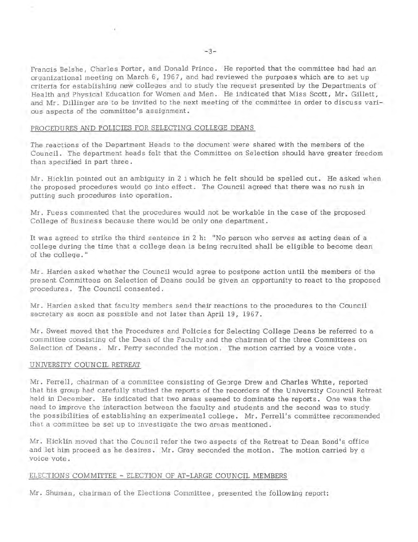Francis Belshe, Charles Porter, and Donald Prince. He reported that the committee had had an organizational meeting on March 6, 196 7, and had reviewed the purposes which are to set up criteria for establishing new colleges and to study the request presented by the Departments of Health and Physical Education for Women and Men. He indicated that Miss Scott, Mr. Gillett, and Mr. Dillinger are to be invited to the next meeting of the committee in order to discuss various aspects of the committee's assignment.

#### PROCEDURES AND POLICIES FOR SELECTING COLLEGE DEANS

The reactions of the Department Heads to the document were shared with the members of the Council. The department heads felt that the Committee on Selection should have greater freedom than specified in part three.

Mr. Hicklin pointed out an ambiguity in 2 i which he felt should be spelled out. He asked when the proposed procedures would go into effect. The Council agreed that there was no rush in putting such procedures into operation.

Mr. Fuess commented that the procedures would not be workable in the case of the proposed College of Business because there would be only one department.

It was agreed to strike the third sentence in 2 h: "No person who serves as acting dean of a college during the time that a college dean is being recruited shall be eligible to become dean of the college. "

Mr. Harden asked whether the Council would agree to postpone action until the members of the present Committees on Selection of Deans could be given an opportunity to react to the proposed procedures. The Council consented.

Mr. Harden asked that faculty members send their reactions to the procedures to the Council secretary as soon as possible and not later than April 19, 1967.

Mr. Sweet moved that the Procedures and Policies for Selecting College Deans be referred to a committee consisting of the Dean of the Faculty and the chairmen of the three Committees on Selection of Deans. Mr. Perry seconded the motion. The motion carried by a voice vote.

#### UNNERSITY COUNCIL RETREAT

Mr. Ferrell, chairman of a committee consisting of George Drew and Charles White, reported that his group had carefully studied the reports of the recorders of the University Council Retreat held in December. He indicated that two areas seemed to dominate the reports. One was the need to improve the interaction between the faculty and students and the second was to study the possibilities of establishing an experimental college. Mr. Ferrell's committee recommended that a committee be set up to investigate the two areas mentioned.

Mr. Hicklin moved that the Council refer the two aspects of the Retreat to Dean Bond's office and let him proceed as he desires. Mr. Gray seconded the motion. The motion carried by a voice vote.

#### ELECTIONS COMMITTEE - ELECTION OF AT-LARGE COUNCIL MEMBERS

Mr. Shuman, chairman of the Elections Committee, presented the following report: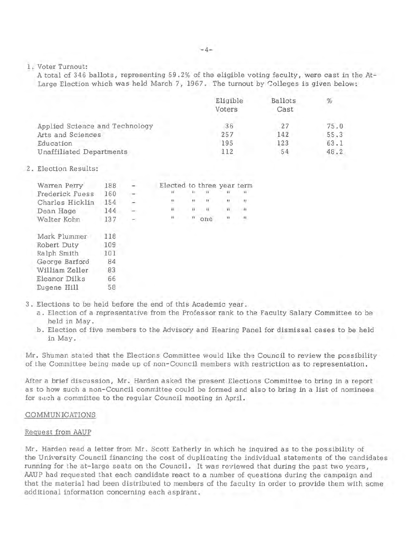1 . Voter Turnout:

A total of 346 ballots, representing 59. 2% of the eligible voting faculty, were cast in the At-Large Election which was held March 7, 1967. The turnout by Colleges is given below:

|                                 | Eligible<br>Voters | Ballots<br>Cast | %    |
|---------------------------------|--------------------|-----------------|------|
| Applied Science and Technology  | 36                 | 27              | 75.0 |
| Arts and Sciences               | 257                | 142             | 55.3 |
| Education                       | 195                | 123             | 63.1 |
| <b>Unaffiliated Departments</b> | 112                | 54              | 48.2 |

#### 2. Election Results:

| Warren Perry           | 188 |   | Elected to three year term |              |                |              |                  |
|------------------------|-----|---|----------------------------|--------------|----------------|--------------|------------------|
| <b>Frederick Fuess</b> | 160 |   |                            |              |                |              |                  |
| Charles Hicklin        | 154 | ÷ | $\mathbf{u}$               | m            | $\overline{u}$ | .,           | u                |
| Dean Hage              | 144 |   | п                          | $\mathbf{H}$ | $\mathbf{u}$   | $\mathbf{u}$ | $\overline{u}$   |
| Walter Kohn            | 137 |   | $\mathbf{H}$               | -78          | orre           | n            | $\boldsymbol{n}$ |
| Mark Plummer           | 118 |   |                            |              |                |              |                  |
| Robert Duty            | 109 |   |                            |              |                |              |                  |
| Ralph Smith            | 101 |   |                            |              |                |              |                  |
| George Barford         | 84  |   |                            |              |                |              |                  |
| William Zeller         | 83  |   |                            |              |                |              |                  |
| Eleanor Dilks          | 66  |   |                            |              |                |              |                  |
| Eugene Hill            | 58  |   |                            |              |                |              |                  |
|                        |     |   |                            |              |                |              |                  |

- 3 . Elections to be held before the end of this Academic year.
	- a. Election of a representative from the Professor rank to the Faculty Salary Committee to be held in May.
	- b. Election of five members to the Advisory and Hearing Panel for dismissal cases to be held in May.

Mr. Shuman stated that the Elections Committee would like the Council to review the possibility of the Committee being made up of non- Council members with restriction as to representation.

After a brief discussion, Mr. Harden asked the present Elections Committee to bring in a report as to how such a non-Council committee could be formed and also to bring in a list of nominees for such a committee to the regular Council meeting in April.

#### COMMUNICATIONS

#### Request from AAUP

Mr. Harden read a letter from Mr. Scott Eatherly in which he inquired as to the possibility of the University Council financing the cost of duplicating the individual statements of the candidates running for the at-large seats on the Council. It was reviewed that during the past two years, AAUP had requested that each candidate react to a number of questions during the campaign and that the material had been distributed to members of the faculty in order to provide them with some additional information concerning each aspirant.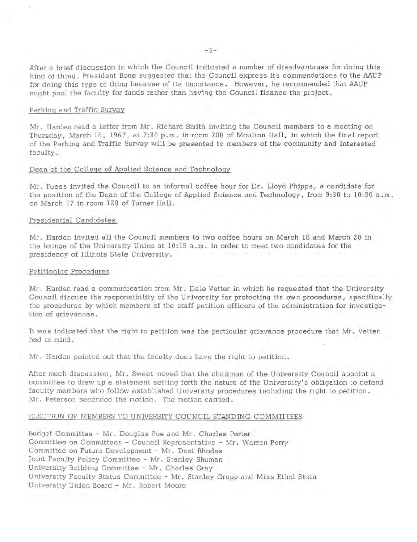After a brief discussion in which the Council indicated a number of disadvantages for doing this kind of thing, President Bone suggested that the Council express its commendations to the AAUP for doing this type of thing because of its importance. However, he recommended that AAUP might pool the faculty for funds rather than having the Council finance the project.

#### Parking and Traffic Survey

Mr. Harden read a letter from Mr. Richard Smith inviting the Council members to a meeting on Thursday, March 16, 1967, at 7:30 p.m. in room 208 of Moulton Hall, in which the final report of the Parking and Traffic Survey will be presented to members of the community and interested faculty .

#### Dean of the College of Applied Science and Technology

Mr. Fuess invited the Council to an informal coffee hour for Dr. Lloyd Phipps, a candidate for the position of the Dean of the College of Applied Science and Technology, from 9:30 to 10:30 a.m. on March 17 in room 128 of Turner Hall.

#### Presidential Candidates

Mr. Harden invited all the Council members to two coffee hours on March 18 and March 20 in the lounge of the University Union at  $10:15$  a.m. in order to meet two candidates for the presidency of Illinois State University.

#### Petitioning Procedures

Mr. Harden read a communication from Mr. Dale Vetter in which he requested that the University Council discuss the responsibility of the University for protecting its own procedures, specifically the procedures by which members of the staff petition officers of the administration for investigation of grievances .

It was indicated that the right to petition was the particular grievance procedure that Mr. Vetter had in mind.

Mr. Harden pointed out that the faculty does have the right to petition.

After much discussion, Mr. Sweet moved that the chairman of the University Council appoint a committee to draw up a statement setting forth the nature of the University's obligation to defend faculty members who follow established University procedures including the right to petition . Mr. Peterson seconded the motion. The motion carried.

#### ELECTION OF MEMBERS TO UNIVERSITY COUNCIL STANDING COMMITTEES

Budget Committee - Mr. Douglas Poe and Mr. Charles Porter Committee on Committees - Council Representative - Mr. Warren Perry Committee on Future Development - Mr. Dent Rhodes Joint Faculty Policy Committee - Mr . Stanley Shuman University Building Committee - Mr. Charles Gray University Faculty Status Committee - Mr. Stanley Grupp and Miss Ethel Stein University Union Board - Mr . Robert Moore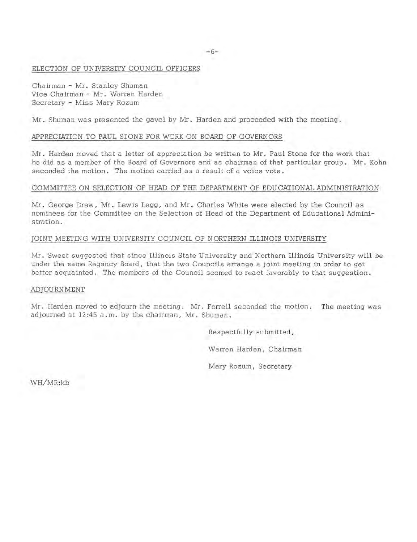#### ELECTION OF UNIVERSITY COUNCIL OFFICERS

Chairman - Mr. Stanley Shuman Vice Chairman - Mr. Warren Harden Secretary - Miss Mary Rozum

Mr. Shuman was presented the gavel by Mr. Harden and proceeded with the meeting.

#### APPRECIATION TO PAUL STONE FOR WORK ON BOARD OF GOVERNORS

Mr. Harden moved that a letter of appreciation be written to Mr. Paul Stone for the work that he did as a member of the Board of Governors and as chairman of that particular group. Mr. Kohn seconded the motion. The motion carried as a result of a voice vote .

#### COMMITTEE ON SELECTION OF HEAD OF THE DEPARTMENT OF EDUCATIONAL ADMINISTRATION

Mr. George Drew, Mr. Lewis Legg, and Mr. Charles White were elected by the Council as nominees for the Committee on the Selection of Head of the Department of Educational Administration.

#### JOINT MEETING WITH UNIVERSITY COUNCIL OF NORTHERN ILLINOIS UNIVERSITY

Mr. Sweet suggested that since Illinois State University and Northern Illinois University will be under the same Regency Board, that the two Councils arrange a joint meeting in order to get better acquainted. The members of the Council seemed to react favorably to that suggestion.

#### ADJOURNMENT

Mr. Harden moved to adjourn the meeting . Mr. Ferrell seconded the motion. The meeting was adjourned at 12:45 a.m. by the chairman, Mr. Shuman.

> Respectfully submitted, Warren Harden, Chairman

Mary Rozum, Secretary

WH/MR:kb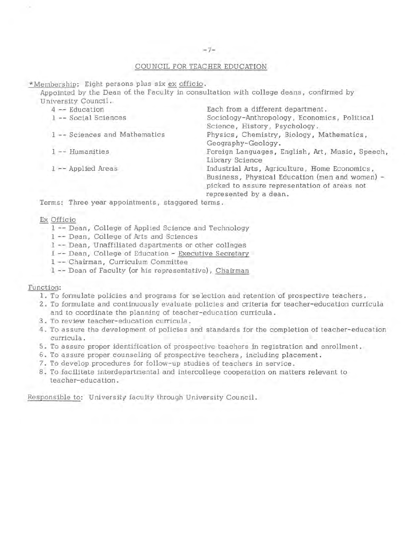#### $-7-$

#### COUNCIL FOR TEACHER EDUCATION

\*Membership: Eight persons plus six ex officio.

Appointed by the Dean of the Faculty in consultation with college deans, confirmed by University Council.

| $4 -$ Education               | Each from a different department.               |
|-------------------------------|-------------------------------------------------|
| 1 -- Social Sciences          | Sociology-Anthropology, Economics, Political    |
|                               | Science, History, Psychology.                   |
| 1 -- Sciences and Mathematics | Physics, Chemistry, Biology, Mathematics,       |
|                               | Geography-Geology.                              |
| 1 -- Humanities               | Foreign Languages, English, Art, Music, Speech, |
|                               | Library Science                                 |
| 1 -- Applied Areas            | Industrial Arts, Agriculture, Home Economics,   |
|                               | Business, Physical Education (men and women) -  |
|                               | picked to assure representation of areas not    |
|                               | represented by a dean.                          |
|                               |                                                 |

Terms: Three year appointments, staggered terms.

#### Ex Officio

- 1 -- Dean, College of Applied Science and Technology
- 1 -- Dean, College of Arts and Sciences
- 1 -- Dean, Unaffiliated dapartments or other colleges
- 1 -- Dean, College of Education Executive Secretary
- 1 -- Chairman, Curriculum Committee
- 1 -- Dean of Faculty (or his representative), Chairman

#### Function:

- 1. To formulate policies and programs for selection and retention of prospective teachers.
- 2. To formulate and continuously evaluate policies and criteria for teacher-education curricula and to coordinate the planning of teacher-education curricula.
- 3. To review teacher-education curricula.
- 4. To assure the development of policies and standards for the completion of teacher-education curricula.
- 5. To assure proper identification of prospective teachers in registration and enrollment.
- 6. To assure proper counseling of prospective teachers, including placement.
- 7. To develop procedures for follow-up studies of teachers in service.
- 8. To facilitate interdepartmental and intercollege cooperation on matters relevant to teacher-education.

Responsible to: University faculty through University Council.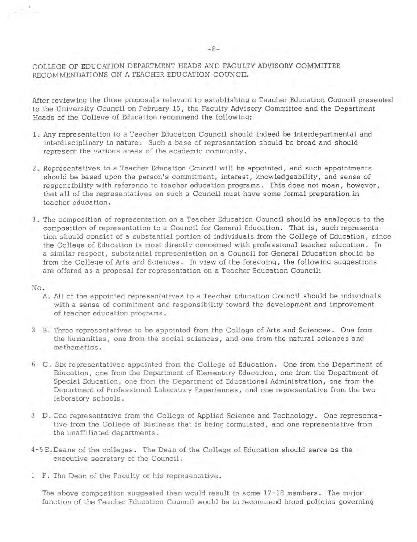### COLLEGE OF EDUCATION DEPARTMENT HEADS AND FACULTY ADVISORY COMMITTEE RECOMMENDATIONS ON A TEACHER EDUCATION COUNCIL

After reviewing the three proposals relevant to establishing a Teacher Education Council presented to the University Council on February 15, the Faculty Advisory Committee and the Department Heads of the College of Education recommend the following:

- 1 . Any representation to a Teacher Education Council should indeed be interdepartmental and interdisciplinary in nature. Such a base of representation should be broad and should represent the various areas of the academic community.
- 2. Representatives to a Teacher Education Council will be appointed, and such appointments should be based upon the person's commitment , interest, knowledgeability, and sense of responsibility with reference to teacher education programs. This does not mean, however, that all of the representatives on such a Council must have some formal preparation in teacher education.
- 3. The composition of representation on a Teacher Education Council should be analogous to the composition of representation to a Council for General Education. That is, such representation should consist of a substantial portion of individuals from the College of Education , since the College of Education is most directly concerned with professional teacher education . In a similar respect, substantial representation on a Council for General Education should be from the College of Arts and Sciences. In view of the foregoing, the following suggestions are offered as a proposal for representation on a Teacher Education Council:

#### No.

•

- A. All of the appointed representatives to a Teacher Education Council should be individuals with a sense of commitment and responsibility toward the development and improvement of teacher education programs.
- 3 B. Three representatives to be appointed from the College of Arts and Sciences. One from the humanities , one from the social sciences, and one from the natural sciences and mathematics.
- 6 C. Six representatives appointed from the College of Education. One from the Department of Education, one from the Department of Elementary Education, one from the Department of Special Education, one from the Department of Educational Administration, one from the Department of Professional Laboratory Experiences, and one representative from the two laboratory schools.
- 3 D. One representative from the College of Applied Science and Technology. One representative from the College of Business that is being formulated, and one representative from the unaffiliated departments.
- $4-5$  E. Deans of the colleges. The Dean of the College of Education should serve as the executive secretary of the Council.
- 1 F. The Dean of the Faculty or his representative.

The above composition suggested then would result in some 17-18 members. The major function of the Teacher Education Council would be to recommend broad policies governing